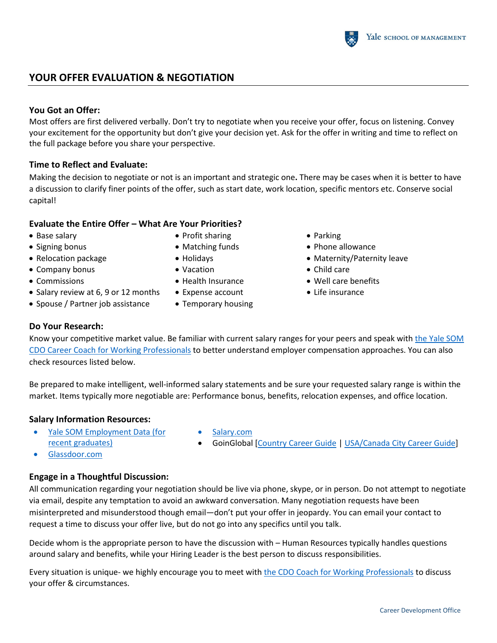# **YOUR OFFER EVALUATION & NEGOTIATION**

#### **You Got an Offer:**

Most offers are first delivered verbally. Don't try to negotiate when you receive your offer, focus on listening. Convey your excitement for the opportunity but don't give your decision yet. Ask for the offer in writing and time to reflect on the full package before you share your perspective.

#### **Time to Reflect and Evaluate:**

Making the decision to negotiate or not is an important and strategic one**.** There may be cases when it is better to have a discussion to clarify finer points of the offer, such as start date, work location, specific mentors etc. Conserve social capital!

### **Evaluate the Entire Offer – What Are Your Priorities?**

- Base salary
- Signing bonus
- Relocation package
- Company bonus
- Commissions
- Salary review at 6, 9 or 12 months
- Spouse / Partner job assistance
- Profit sharing
- Matching funds
- Holidays
- Vacation
- Health Insurance
- Expense account
- Temporary housing
- Parking
- Phone allowance
- Maternity/Paternity leave
- Child care
- Well care benefits
- Life insurance

#### **Do Your Research:**

Know your competitive market value. Be familiar with current salary ranges for your peers and speak with [the Yale SOM](https://som.yale.edu/alumni/career/career-coaching)  [CDO Career Coach for Working Professionals](https://som.yale.edu/alumni/career/career-coaching) to better understand employer compensation approaches. You can also check resources listed below.

Be prepared to make intelligent, well-informed salary statements and be sure your requested salary range is within the market. Items typically more negotiable are: Performance bonus, benefits, relocation expenses, and office location.

### **Salary Information Resources:**

- [Yale SOM Employment Data](https://som.yale.edu/programs/mba/career-paths/employment-report) (for [recent graduates\)](https://som.yale.edu/programs/mba/career-paths/employment-report)
- Salary.com
- GoinGlobal [\[Country Career Guide](https://online.goinglobal.com/default.aspx?accid=20120420HHHHHHHHHHHHHHHHHHHHHHHHHHHHHHHHHHHHHHHHHHHHHHHHHHHHHHHHHHHHHHHHHHHHHHlllllllllllllllllllllllllllllllllllllllllllllllllllllllllllllllllllllllllllllllllllllllllllllYU) | [USA/Canada City Career Guide\]](http://online.usacareerguides.com/default.aspx?accid=20120420HHHHHHHHHHHHHHHHHHHHHHHHHHHHHHHHHHHHHHHHHHHHHHHHHHHHHHHHHHHHHHHHHHHHHHlllllllllllllllllllllllllllllllllllllllllllllllllllllllllllllllllllllllllllllllllllllllllllllYU)

# **Engage in a Thoughtful Discussion:**

All communication regarding your negotiation should be live via phone, skype, or in person. Do not attempt to negotiate via email, despite any temptation to avoid an awkward conversation. Many negotiation requests have been misinterpreted and misunderstood though email—don't put your offer in jeopardy. You can email your contact to request a time to discuss your offer live, but do not go into any specifics until you talk.

Decide whom is the appropriate person to have the discussion with – Human Resources typically handles questions around salary and benefits, while your Hiring Leader is the best person to discuss responsibilities.

Every situation is unique- we highly encourage you to meet with the CDO Coach [for Working Professionals](https://som.yale.edu/alumni/career/career-coaching) to discuss your offer & circumstances.